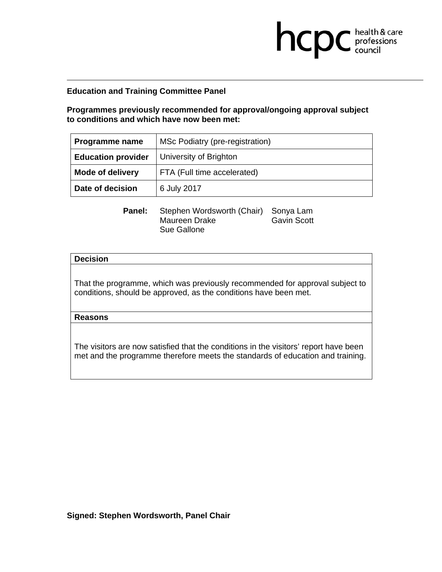**Programmes previously recommended for approval/ongoing approval subject to conditions and which have now been met:** 

**health & care** 

| Programme name            | MSc Podiatry (pre-registration) |
|---------------------------|---------------------------------|
| <b>Education provider</b> | University of Brighton          |
| <b>Mode of delivery</b>   | FTA (Full time accelerated)     |
| Date of decision          | 6 July 2017                     |

**Panel:** Stephen Wordsworth (Chair) Sonya Lam Maureen Drake Gavin Scott Sue Gallone

### **Decision**

That the programme, which was previously recommended for approval subject to conditions, should be approved, as the conditions have been met.

### **Reasons**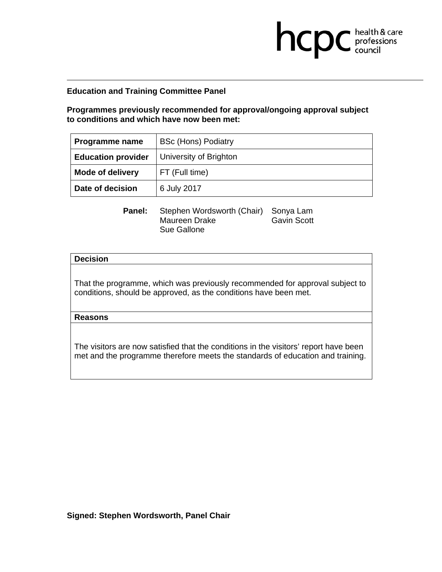**Programmes previously recommended for approval/ongoing approval subject to conditions and which have now been met:** 

**health & care** 

| Programme name            | <b>BSc (Hons) Podiatry</b> |
|---------------------------|----------------------------|
| <b>Education provider</b> | University of Brighton     |
| <b>Mode of delivery</b>   | FT (Full time)             |
| Date of decision          | 6 July 2017                |

**Panel:** Stephen Wordsworth (Chair) Sonya Lam Maureen Drake Gavin Scott Sue Gallone

### **Decision**

That the programme, which was previously recommended for approval subject to conditions, should be approved, as the conditions have been met.

### **Reasons**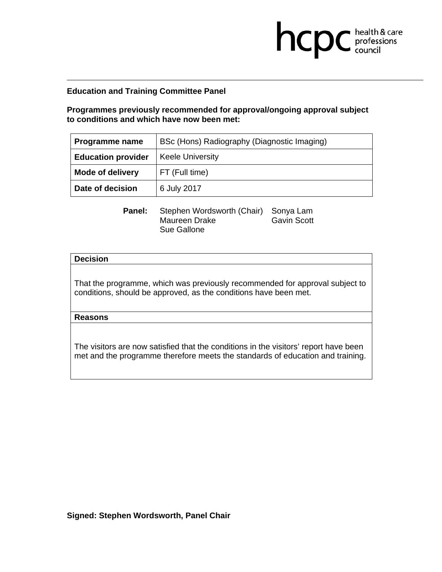**Programmes previously recommended for approval/ongoing approval subject to conditions and which have now been met:** 

**health & care** 

| Programme name            | BSc (Hons) Radiography (Diagnostic Imaging) |
|---------------------------|---------------------------------------------|
| <b>Education provider</b> | <b>Keele University</b>                     |
| <b>Mode of delivery</b>   | FT (Full time)                              |
| Date of decision          | 6 July 2017                                 |

**Panel:** Stephen Wordsworth (Chair) Sonya Lam Maureen Drake Gavin Scott Sue Gallone

### **Decision**

That the programme, which was previously recommended for approval subject to conditions, should be approved, as the conditions have been met.

## **Reasons**